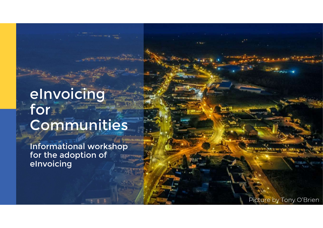## eInvoicing for Communities

Informational workshop for the adoption of eInvoicing

Picture by Tony O'Brien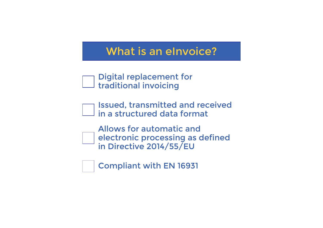### What is an eInvoice?

| $\lnot$ Digital replacement for |  |
|---------------------------------|--|
| $\Box$ traditional invoicing    |  |

Issued, transmitted and received in a structured data format

Allows for automatic and electronic processing as defined in Directive 2014/55/EU

Compliant with EN 16931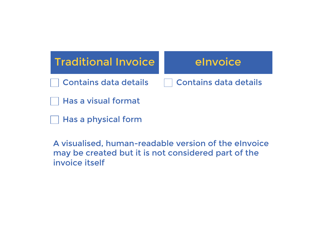

A visualised, human-readable version of the eInvoice may be created but it is not considered part of the invoice itself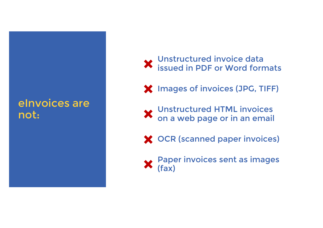### eInvoices are not:

#### Unstructured invoice data issued in PDF or Word formats

Images of invoices (JPG, TIFF)

Unstructured HTML invoices on a web page or in an email

**X** OCR (scanned paper invoices)

Paper invoices sent as images (fax)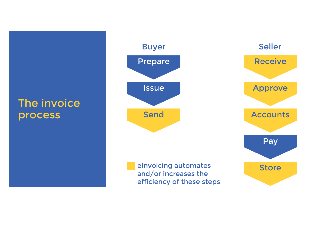### The invoice process

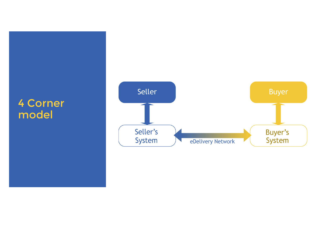### 4 Corner model

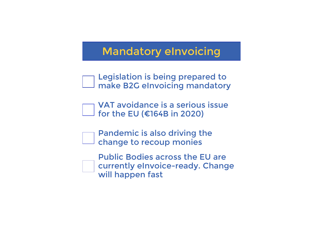### Mandatory eInvoicing

Legislation is being prepared to make B2G eInvoicing mandatory

VAT avoidance is a serious issue for the EU (€164B in 2020)

Pandemic is also driving the change to recoup monies

Public Bodies across the EU are currently eInvoice-ready. Change will happen fast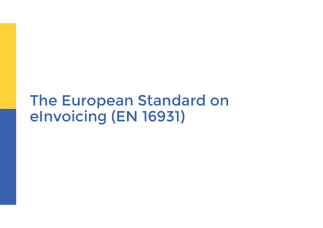### The European Standard on eInvoicing (EN 16931)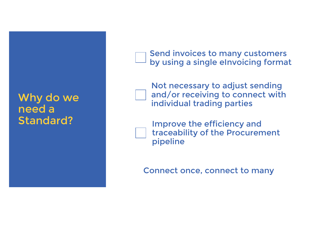### Why do we need a Standard?

 $\Box$  by using a single eInvoicing format Business can; Send invoices to many customers

Not necessary to adjust sending and/or receiving to connect with individual trading parties

Improve the efficiency and traceability of the Procurement pipeline

Connect once, connect to many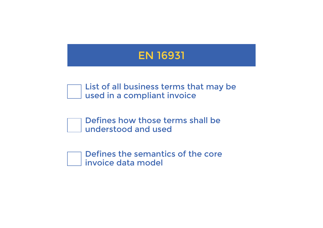

List of all business terms that may be used in a compliant invoice

Defines how those terms shall be understood and used

Defines the semantics of the core invoice data model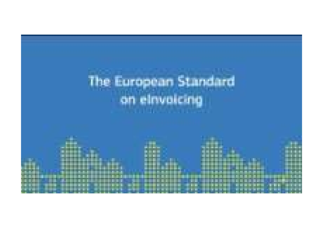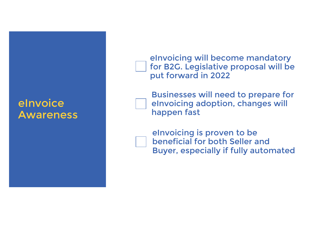#### eInvoice **Awareness**

for B2G. Legislative proposal will be put forward in 2022 eInvoicing will become mandatory

Businesses will need to prepare for eInvoicing adoption, changes will happen fast

eInvoicing is proven to be beneficial for both Seller and Buyer, especially if fully automated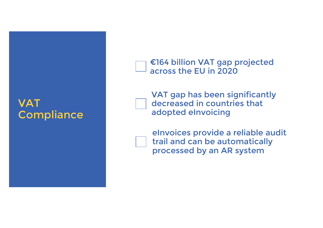### VAT **Compliance**

 $\sim$  across the EU in 2020 €164 billion VAT gap projected

VAT gap has been significantly decreased in countries that adopted eInvoicing

eInvoices provide a reliable audit trail and can be automatically processed by an AR system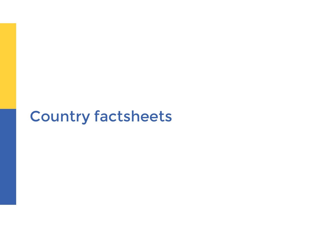# Country factsheets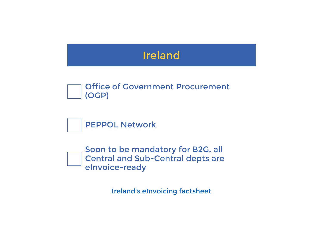



Soon to be mandatory for B2G, all Central and Sub-Central depts are eInvoice-ready

Ireland's eInvoicing factsheet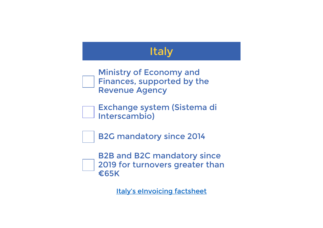### Italy

Ministry of Economy and Finances, supported by the Revenue Agency

Exchange system (Sistema di Interscambio)

B2G mandatory since 2014

B2B and B2C mandatory since 2019 for turnovers greater than €65K

Italy's eInvoicing factsheet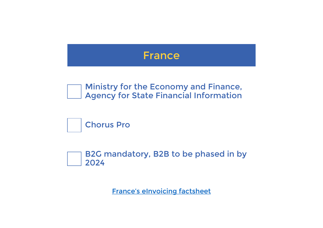

Ministry for the Economy and Finance, Agency for State Financial Information



B2G mandatory, B2B to be phased in by 2024

France's eInvoicing factsheet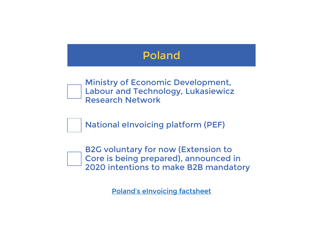

B2G voluntary for now (Extension to Core is being prepared), announced in 2020 intentions to make B2B mandatory

Poland's eInvoicing factsheet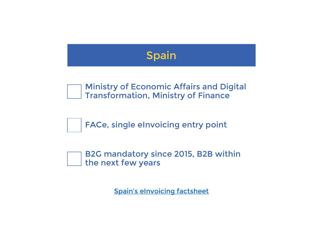

Ministry of Economic Affairs and Digital Transformation, Ministry of Finance

FACe, single eInvoicing entry point

B2G mandatory since 2015, B2B within the next few years

Spain's eInvoicing factsheet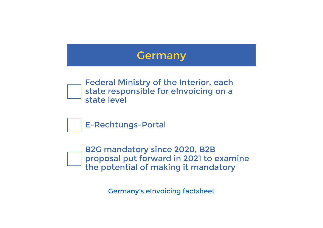

B2G mandatory since 2020, B2B proposal put forward in 2021 to examine the potential of making it mandatory

Germany's eInvoicing factsheet